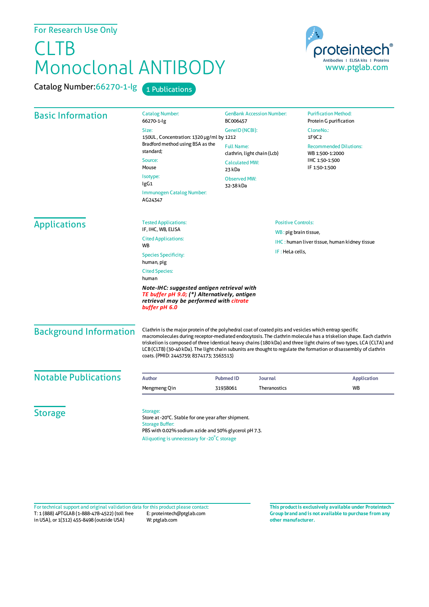## For Research Use Only

## CLTB Monoclonal ANTIBODY

Catalog Number: 66270-1-lg 1 Publications



| <b>Basic Information</b>      | <b>Catalog Number:</b><br>66270-1-lg                                                                                                                                                                                                                                                                                                                                                                                                                                                                                | <b>GenBank Accession Number:</b><br>BC006457     | <b>Purification Method:</b><br>Protein G purification |  |
|-------------------------------|---------------------------------------------------------------------------------------------------------------------------------------------------------------------------------------------------------------------------------------------------------------------------------------------------------------------------------------------------------------------------------------------------------------------------------------------------------------------------------------------------------------------|--------------------------------------------------|-------------------------------------------------------|--|
|                               | Size:                                                                                                                                                                                                                                                                                                                                                                                                                                                                                                               | GeneID (NCBI):                                   | CloneNo.:                                             |  |
|                               | 150UL, Concentration: 1320 µg/ml by 1212                                                                                                                                                                                                                                                                                                                                                                                                                                                                            |                                                  | 1F9C2                                                 |  |
|                               | Bradford method using BSA as the<br>standard;                                                                                                                                                                                                                                                                                                                                                                                                                                                                       | <b>Full Name:</b><br>clathrin, light chain (Lcb) | <b>Recommended Dilutions:</b><br>WB 1:500-1:2000      |  |
|                               | Source:<br>Mouse                                                                                                                                                                                                                                                                                                                                                                                                                                                                                                    | <b>Calculated MW:</b><br>23 kDa                  | IHC 1:50-1:500<br>IF 1:50-1:500                       |  |
|                               | Isotype:<br>lgG1                                                                                                                                                                                                                                                                                                                                                                                                                                                                                                    | <b>Observed MW:</b><br>32-38 kDa                 |                                                       |  |
|                               | Immunogen Catalog Number:<br>AG24347                                                                                                                                                                                                                                                                                                                                                                                                                                                                                |                                                  |                                                       |  |
| <b>Applications</b>           | <b>Tested Applications:</b>                                                                                                                                                                                                                                                                                                                                                                                                                                                                                         | <b>Positive Controls:</b>                        |                                                       |  |
|                               | IF, IHC, WB, ELISA                                                                                                                                                                                                                                                                                                                                                                                                                                                                                                  |                                                  | WB: pig brain tissue,                                 |  |
|                               | <b>Cited Applications:</b><br><b>WB</b>                                                                                                                                                                                                                                                                                                                                                                                                                                                                             |                                                  | <b>IHC:</b> human liver tissue, human kidney tissue   |  |
|                               | <b>Species Specificity:</b><br>human, pig                                                                                                                                                                                                                                                                                                                                                                                                                                                                           | IF: HeLa cells.                                  |                                                       |  |
|                               | <b>Cited Species:</b><br>human                                                                                                                                                                                                                                                                                                                                                                                                                                                                                      |                                                  |                                                       |  |
|                               | Note-IHC: suggested antigen retrieval with<br>TE buffer pH 9.0; (*) Alternatively, antigen<br>retrieval may be performed with citrate<br>buffer pH 6.0                                                                                                                                                                                                                                                                                                                                                              |                                                  |                                                       |  |
| <b>Background Information</b> | Clathrin is the major protein of the polyhedral coat of coated pits and vesicles which entrap specific<br>macromolecules during receptor-mediated endocytosis. The clathrin molecule has a triskelion shape. Each clathrin<br>triskelion is composed of three identical heavy chains (180 kDa) and three light chains of two types, LCA (CLTA) and<br>LCB (CLTB) (30-40 kDa). The light chain subunits are thought to regulate the formation or disassembly of clathrin<br>coats. (PMID: 2445759; 8374173; 3563513) |                                                  |                                                       |  |
| <b>Notable Publications</b>   | <b>Author</b>                                                                                                                                                                                                                                                                                                                                                                                                                                                                                                       | <b>Pubmed ID</b><br><b>Journal</b>               | <b>Application</b>                                    |  |
|                               | Mengmeng Qin                                                                                                                                                                                                                                                                                                                                                                                                                                                                                                        | Theranostics<br>31938061                         | <b>WB</b>                                             |  |
| <b>Storage</b>                | Storage:<br>Store at -20°C. Stable for one year after shipment.<br><b>Storage Buffer:</b><br>PBS with 0.02% sodium azide and 50% glycerol pH 7.3.<br>Aliquoting is unnecessary for -20°C storage                                                                                                                                                                                                                                                                                                                    |                                                  |                                                       |  |

T: 1 (888) 4PTGLAB (1-888-478-4522) (toll free E: proteintech@ptglab.com in USA), or 1(312) 455-8498 (outside USA) W: ptglab.com Fortechnical support and original validation data forthis product please contact: **This productis exclusively available under Proteintech**

**Group brand and is not available to purchase from any other manufacturer.**